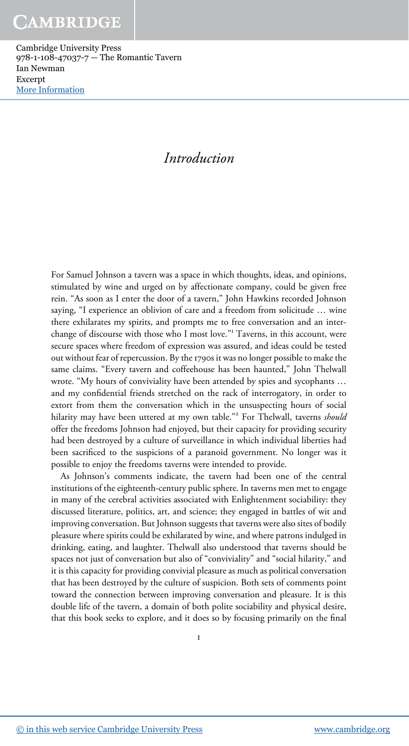## Introduction

For Samuel Johnson a tavern was a space in which thoughts, ideas, and opinions, stimulated by wine and urged on by affectionate company, could be given free rein. "As soon as I enter the door of a tavern," John Hawkins recorded Johnson saying, "I experience an oblivion of care and a freedom from solicitude … wine there exhilarates my spirits, and prompts me to free conversation and an interchange of discourse with those who I most love." <sup>1</sup> Taverns, in this account, were secure spaces where freedom of expression was assured, and ideas could be tested out without fear of repercussion. By the 1790s it was no longer possible to make the same claims. "Every tavern and coffeehouse has been haunted," John Thelwall wrote. "My hours of conviviality have been attended by spies and sycophants … and my confidential friends stretched on the rack of interrogatory, in order to extort from them the conversation which in the unsuspecting hours of social hilarity may have been uttered at my own table."<sup>2</sup> For Thelwall, taverns *should* offer the freedoms Johnson had enjoyed, but their capacity for providing security had been destroyed by a culture of surveillance in which individual liberties had been sacrificed to the suspicions of a paranoid government. No longer was it possible to enjoy the freedoms taverns were intended to provide.

As Johnson's comments indicate, the tavern had been one of the central institutions of the eighteenth-century public sphere. In taverns men met to engage in many of the cerebral activities associated with Enlightenment sociability: they discussed literature, politics, art, and science; they engaged in battles of wit and improving conversation. But Johnson suggests that taverns were also sites of bodily pleasure where spirits could be exhilarated by wine, and where patrons indulged in drinking, eating, and laughter. Thelwall also understood that taverns should be spaces not just of conversation but also of "conviviality" and "social hilarity," and it is this capacity for providing convivial pleasure as much as political conversation that has been destroyed by the culture of suspicion. Both sets of comments point toward the connection between improving conversation and pleasure. It is this double life of the tavern, a domain of both polite sociability and physical desire, that this book seeks to explore, and it does so by focusing primarily on the final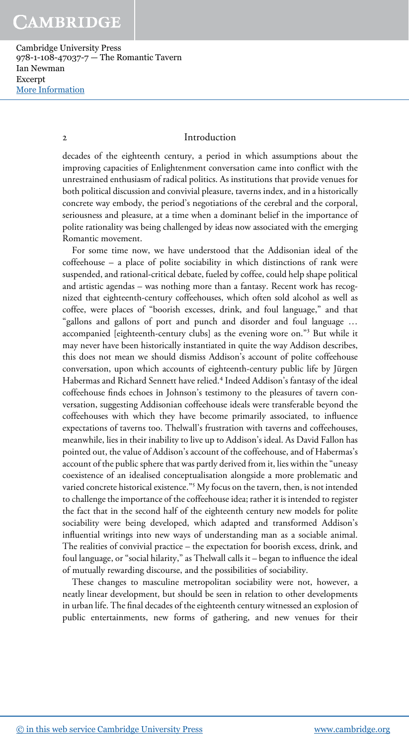Cambridge University Press 978-1-108-47037-7 — The Romantic Tavern Ian Newman Excerpt [More Information](www.cambridge.org/9781108470377)

#### 2 Introduction

decades of the eighteenth century, a period in which assumptions about the improving capacities of Enlightenment conversation came into conflict with the unrestrained enthusiasm of radical politics. As institutions that provide venues for both political discussion and convivial pleasure, taverns index, and in a historically concrete way embody, the period's negotiations of the cerebral and the corporal, seriousness and pleasure, at a time when a dominant belief in the importance of polite rationality was being challenged by ideas now associated with the emerging Romantic movement.

For some time now, we have understood that the Addisonian ideal of the coffeehouse – a place of polite sociability in which distinctions of rank were suspended, and rational-critical debate, fueled by coffee, could help shape political and artistic agendas – was nothing more than a fantasy. Recent work has recognized that eighteenth-century coffeehouses, which often sold alcohol as well as coffee, were places of "boorish excesses, drink, and foul language," and that "gallons and gallons of port and punch and disorder and foul language … accompanied [eighteenth-century clubs] as the evening wore on." 3 But while it may never have been historically instantiated in quite the way Addison describes, this does not mean we should dismiss Addison's account of polite coffeehouse conversation, upon which accounts of eighteenth-century public life by Jürgen Habermas and Richard Sennett have relied.<sup>4</sup> Indeed Addison's fantasy of the ideal coffeehouse finds echoes in Johnson's testimony to the pleasures of tavern conversation, suggesting Addisonian coffeehouse ideals were transferable beyond the coffeehouses with which they have become primarily associated, to influence expectations of taverns too. Thelwall's frustration with taverns and coffeehouses, meanwhile, lies in their inability to live up to Addison's ideal. As David Fallon has pointed out, the value of Addison's account of the coffeehouse, and of Habermas's account of the public sphere that was partly derived from it, lies within the "uneasy coexistence of an idealised conceptualisation alongside a more problematic and varied concrete historical existence." <sup>5</sup> My focus on the tavern, then, is not intended to challenge the importance of the coffeehouse idea; rather it is intended to register the fact that in the second half of the eighteenth century new models for polite sociability were being developed, which adapted and transformed Addison's influential writings into new ways of understanding man as a sociable animal. The realities of convivial practice – the expectation for boorish excess, drink, and foul language, or "social hilarity," as Thelwall calls it – began to influence the ideal of mutually rewarding discourse, and the possibilities of sociability.

These changes to masculine metropolitan sociability were not, however, a neatly linear development, but should be seen in relation to other developments in urban life. The final decades of the eighteenth century witnessed an explosion of public entertainments, new forms of gathering, and new venues for their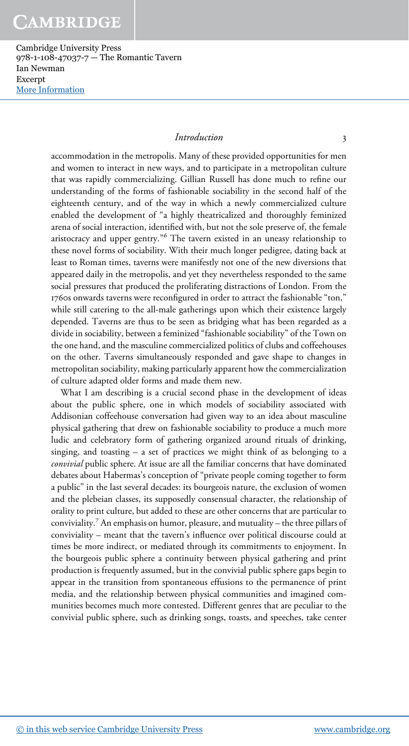Cambridge University Press 978-1-108-47037-7 — The Romantic Tavern Ian Newman Excerpt [More Information](www.cambridge.org/9781108470377)

#### Introduction 3

accommodation in the metropolis. Many of these provided opportunities for men and women to interact in new ways, and to participate in a metropolitan culture that was rapidly commercializing. Gillian Russell has done much to refine our understanding of the forms of fashionable sociability in the second half of the eighteenth century, and of the way in which a newly commercialized culture enabled the development of "a highly theatricalized and thoroughly feminized arena of social interaction, identified with, but not the sole preserve of, the female aristocracy and upper gentry." <sup>6</sup> The tavern existed in an uneasy relationship to these novel forms of sociability. With their much longer pedigree, dating back at least to Roman times, taverns were manifestly not one of the new diversions that appeared daily in the metropolis, and yet they nevertheless responded to the same social pressures that produced the proliferating distractions of London. From the 1760s onwards taverns were reconfigured in order to attract the fashionable "ton," while still catering to the all-male gatherings upon which their existence largely depended. Taverns are thus to be seen as bridging what has been regarded as a divide in sociability, between a feminized "fashionable sociability" of the Town on the one hand, and the masculine commercialized politics of clubs and coffeehouses on the other. Taverns simultaneously responded and gave shape to changes in metropolitan sociability, making particularly apparent how the commercialization of culture adapted older forms and made them new.

What I am describing is a crucial second phase in the development of ideas about the public sphere, one in which models of sociability associated with Addisonian coffeehouse conversation had given way to an idea about masculine physical gathering that drew on fashionable sociability to produce a much more ludic and celebratory form of gathering organized around rituals of drinking, singing, and toasting – a set of practices we might think of as belonging to a convivial public sphere. At issue are all the familiar concerns that have dominated debates about Habermas's conception of "private people coming together to form a public" in the last several decades: its bourgeois nature, the exclusion of women and the plebeian classes, its supposedly consensual character, the relationship of orality to print culture, but added to these are other concerns that are particular to conviviality.<sup>7</sup> An emphasis on humor, pleasure, and mutuality – the three pillars of conviviality – meant that the tavern's influence over political discourse could at times be more indirect, or mediated through its commitments to enjoyment. In the bourgeois public sphere a continuity between physical gathering and print production is frequently assumed, but in the convivial public sphere gaps begin to appear in the transition from spontaneous effusions to the permanence of print media, and the relationship between physical communities and imagined communities becomes much more contested. Different genres that are peculiar to the convivial public sphere, such as drinking songs, toasts, and speeches, take center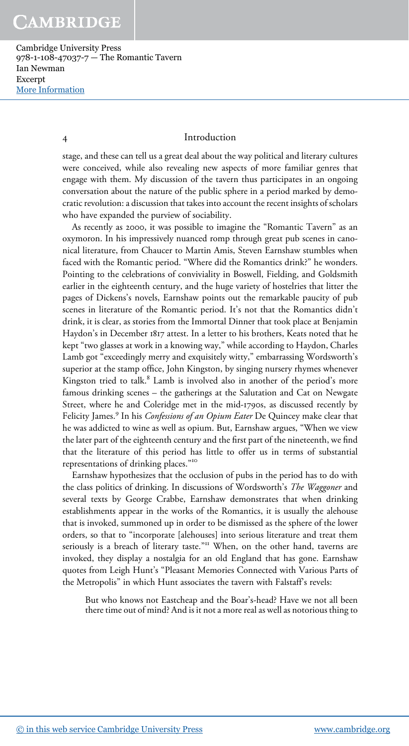#### 4 Introduction

stage, and these can tell us a great deal about the way political and literary cultures were conceived, while also revealing new aspects of more familiar genres that engage with them. My discussion of the tavern thus participates in an ongoing conversation about the nature of the public sphere in a period marked by democratic revolution: a discussion that takes into account the recent insights of scholars who have expanded the purview of sociability.

As recently as 2000, it was possible to imagine the "Romantic Tavern" as an oxymoron. In his impressively nuanced romp through great pub scenes in canonical literature, from Chaucer to Martin Amis, Steven Earnshaw stumbles when faced with the Romantic period. "Where did the Romantics drink?" he wonders. Pointing to the celebrations of conviviality in Boswell, Fielding, and Goldsmith earlier in the eighteenth century, and the huge variety of hostelries that litter the pages of Dickens's novels, Earnshaw points out the remarkable paucity of pub scenes in literature of the Romantic period. It's not that the Romantics didn't drink, it is clear, as stories from the Immortal Dinner that took place at Benjamin Haydon's in December 1817 attest. In a letter to his brothers, Keats noted that he kept "two glasses at work in a knowing way," while according to Haydon, Charles Lamb got "exceedingly merry and exquisitely witty," embarrassing Wordsworth's superior at the stamp office, John Kingston, by singing nursery rhymes whenever Kingston tried to talk.<sup>8</sup> Lamb is involved also in another of the period's more famous drinking scenes – the gatherings at the Salutation and Cat on Newgate Street, where he and Coleridge met in the mid-1790s, as discussed recently by Felicity James.<sup>9</sup> In his Confessions of an Opium Eater De Quincey make clear that he was addicted to wine as well as opium. But, Earnshaw argues, "When we view the later part of the eighteenth century and the first part of the nineteenth, we find that the literature of this period has little to offer us in terms of substantial representations of drinking places."<sup>10</sup>

Earnshaw hypothesizes that the occlusion of pubs in the period has to do with the class politics of drinking. In discussions of Wordsworth's The Waggoner and several texts by George Crabbe, Earnshaw demonstrates that when drinking establishments appear in the works of the Romantics, it is usually the alehouse that is invoked, summoned up in order to be dismissed as the sphere of the lower orders, so that to "incorporate [alehouses] into serious literature and treat them seriously is a breach of literary taste."<sup>11</sup> When, on the other hand, taverns are invoked, they display a nostalgia for an old England that has gone. Earnshaw quotes from Leigh Hunt's "Pleasant Memories Connected with Various Parts of the Metropolis" in which Hunt associates the tavern with Falstaff's revels:

But who knows not Eastcheap and the Boar's-head? Have we not all been there time out of mind? And is it not a more real as well as notorious thing to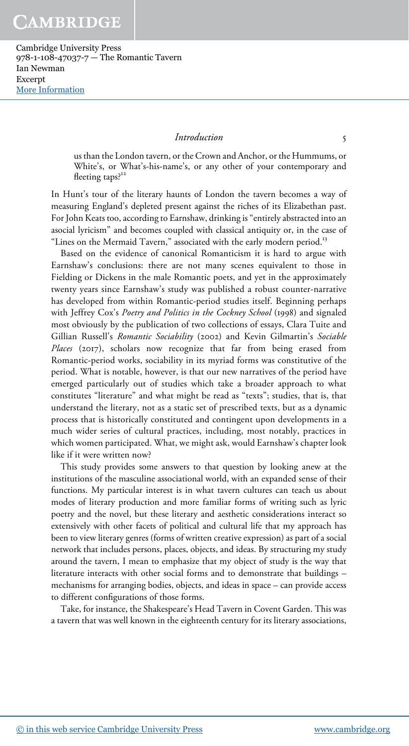Cambridge University Press 978-1-108-47037-7 — The Romantic Tavern Ian Newman Excerpt [More Information](www.cambridge.org/9781108470377)

#### Introduction 5

us than the London tavern, or the Crown and Anchor, or the Hummums, or White's, or What's-his-name's, or any other of your contemporary and fleeting taps?<sup>12</sup>

In Hunt's tour of the literary haunts of London the tavern becomes a way of measuring England's depleted present against the riches of its Elizabethan past. For John Keats too, according to Earnshaw, drinking is "entirely abstracted into an asocial lyricism" and becomes coupled with classical antiquity or, in the case of "Lines on the Mermaid Tavern," associated with the early modern period.<sup>13</sup>

Based on the evidence of canonical Romanticism it is hard to argue with Earnshaw's conclusions: there are not many scenes equivalent to those in Fielding or Dickens in the male Romantic poets, and yet in the approximately twenty years since Earnshaw's study was published a robust counter-narrative has developed from within Romantic-period studies itself. Beginning perhaps with Jeffrey Cox's Poetry and Politics in the Cockney School (1998) and signaled most obviously by the publication of two collections of essays, Clara Tuite and Gillian Russell's Romantic Sociability (2002) and Kevin Gilmartin's Sociable Places (2017), scholars now recognize that far from being erased from Romantic-period works, sociability in its myriad forms was constitutive of the period. What is notable, however, is that our new narratives of the period have emerged particularly out of studies which take a broader approach to what constitutes "literature" and what might be read as "texts"; studies, that is, that understand the literary, not as a static set of prescribed texts, but as a dynamic process that is historically constituted and contingent upon developments in a much wider series of cultural practices, including, most notably, practices in which women participated. What, we might ask, would Earnshaw's chapter look like if it were written now?

This study provides some answers to that question by looking anew at the institutions of the masculine associational world, with an expanded sense of their functions. My particular interest is in what tavern cultures can teach us about modes of literary production and more familiar forms of writing such as lyric poetry and the novel, but these literary and aesthetic considerations interact so extensively with other facets of political and cultural life that my approach has been to view literary genres (forms of written creative expression) as part of a social network that includes persons, places, objects, and ideas. By structuring my study around the tavern, I mean to emphasize that my object of study is the way that literature interacts with other social forms and to demonstrate that buildings – mechanisms for arranging bodies, objects, and ideas in space – can provide access to different configurations of those forms.

Take, for instance, the Shakespeare's Head Tavern in Covent Garden. This was a tavern that was well known in the eighteenth century for its literary associations,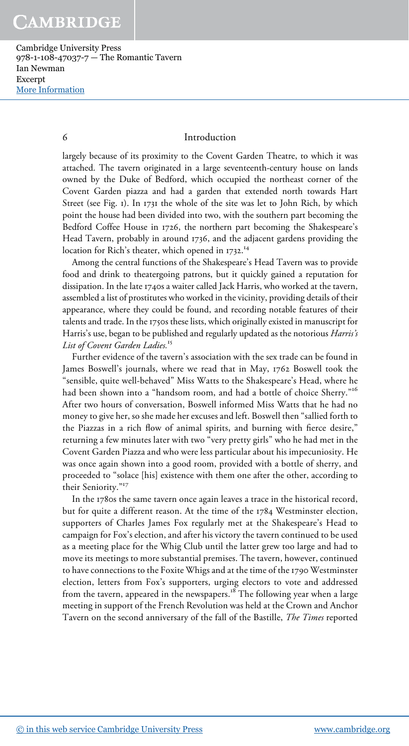#### 6 Introduction

largely because of its proximity to the Covent Garden Theatre, to which it was attached. The tavern originated in a large seventeenth-century house on lands owned by the Duke of Bedford, which occupied the northeast corner of the Covent Garden piazza and had a garden that extended north towards Hart Street (see Fig. 1). In 1731 the whole of the site was let to John Rich, by which point the house had been divided into two, with the southern part becoming the Bedford Coffee House in 1726, the northern part becoming the Shakespeare's Head Tavern, probably in around 1736, and the adjacent gardens providing the location for Rich's theater, which opened in 1732.<sup>14</sup>

Among the central functions of the Shakespeare's Head Tavern was to provide food and drink to theatergoing patrons, but it quickly gained a reputation for dissipation. In the late 1740s a waiter called Jack Harris, who worked at the tavern, assembled a list of prostitutes who worked in the vicinity, providing details of their appearance, where they could be found, and recording notable features of their talents and trade. In the 1750s these lists, which originally existed in manuscript for Harris's use, began to be published and regularly updated as the notorious *Harris's* List of Covent Garden Ladies.<sup>15</sup>

Further evidence of the tavern's association with the sex trade can be found in James Boswell's journals, where we read that in May, 1762 Boswell took the "sensible, quite well-behaved" Miss Watts to the Shakespeare's Head, where he had been shown into a "handsom room, and had a bottle of choice Sherry." 16 After two hours of conversation, Boswell informed Miss Watts that he had no money to give her, so she made her excuses and left. Boswell then "sallied forth to the Piazzas in a rich flow of animal spirits, and burning with fierce desire," returning a few minutes later with two "very pretty girls" who he had met in the Covent Garden Piazza and who were less particular about his impecuniosity. He was once again shown into a good room, provided with a bottle of sherry, and proceeded to "solace [his] existence with them one after the other, according to their Seniority."<sup>17</sup>

In the 1780s the same tavern once again leaves a trace in the historical record, but for quite a different reason. At the time of the 1784 Westminster election, supporters of Charles James Fox regularly met at the Shakespeare's Head to campaign for Fox's election, and after his victory the tavern continued to be used as a meeting place for the Whig Club until the latter grew too large and had to move its meetings to more substantial premises. The tavern, however, continued to have connections to the Foxite Whigs and at the time of the 1790 Westminster election, letters from Fox's supporters, urging electors to vote and addressed from the tavern, appeared in the newspapers.<sup>18</sup> The following year when a large meeting in support of the French Revolution was held at the Crown and Anchor Tavern on the second anniversary of the fall of the Bastille, The Times reported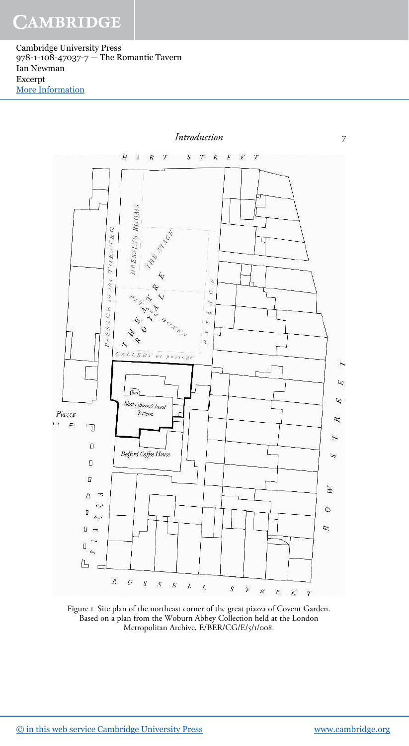Cambridge University Press 978-1-108-47037-7 — The Romantic Tavern Ian Newman Excerpt [More Information](www.cambridge.org/9781108470377)



Figure 1 Site plan of the northeast corner of the great piazza of Covent Garden. Based on a plan from the Woburn Abbey Collection held at the London Metropolitan Archive, E/BER/CG/E/5/1/008.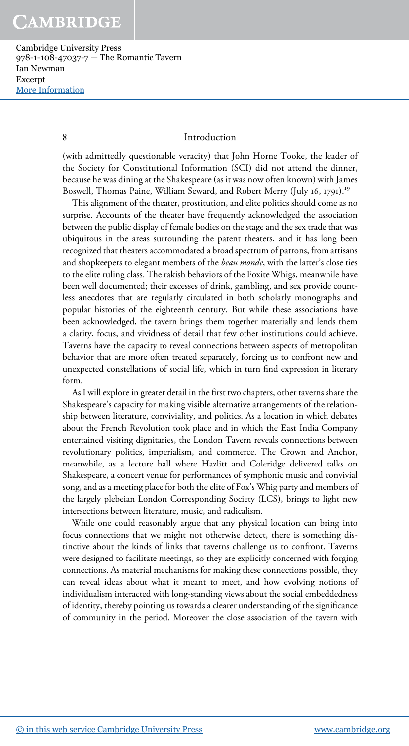#### 8 Introduction

(with admittedly questionable veracity) that John Horne Tooke, the leader of the Society for Constitutional Information (SCI) did not attend the dinner, because he was dining at the Shakespeare (as it was now often known) with James Boswell, Thomas Paine, William Seward, and Robert Merry (July 16, 1791).<sup>19</sup>

This alignment of the theater, prostitution, and elite politics should come as no surprise. Accounts of the theater have frequently acknowledged the association between the public display of female bodies on the stage and the sex trade that was ubiquitous in the areas surrounding the patent theaters, and it has long been recognized that theaters accommodated a broad spectrum of patrons, from artisans and shopkeepers to elegant members of the *beau monde*, with the latter's close ties to the elite ruling class. The rakish behaviors of the Foxite Whigs, meanwhile have been well documented; their excesses of drink, gambling, and sex provide countless anecdotes that are regularly circulated in both scholarly monographs and popular histories of the eighteenth century. But while these associations have been acknowledged, the tavern brings them together materially and lends them a clarity, focus, and vividness of detail that few other institutions could achieve. Taverns have the capacity to reveal connections between aspects of metropolitan behavior that are more often treated separately, forcing us to confront new and unexpected constellations of social life, which in turn find expression in literary form.

As I will explore in greater detail in the first two chapters, other taverns share the Shakespeare's capacity for making visible alternative arrangements of the relationship between literature, conviviality, and politics. As a location in which debates about the French Revolution took place and in which the East India Company entertained visiting dignitaries, the London Tavern reveals connections between revolutionary politics, imperialism, and commerce. The Crown and Anchor, meanwhile, as a lecture hall where Hazlitt and Coleridge delivered talks on Shakespeare, a concert venue for performances of symphonic music and convivial song, and as a meeting place for both the elite of Fox's Whig party and members of the largely plebeian London Corresponding Society (LCS), brings to light new intersections between literature, music, and radicalism.

While one could reasonably argue that any physical location can bring into focus connections that we might not otherwise detect, there is something distinctive about the kinds of links that taverns challenge us to confront. Taverns were designed to facilitate meetings, so they are explicitly concerned with forging connections. As material mechanisms for making these connections possible, they can reveal ideas about what it meant to meet, and how evolving notions of individualism interacted with long-standing views about the social embeddedness of identity, thereby pointing us towards a clearer understanding of the significance of community in the period. Moreover the close association of the tavern with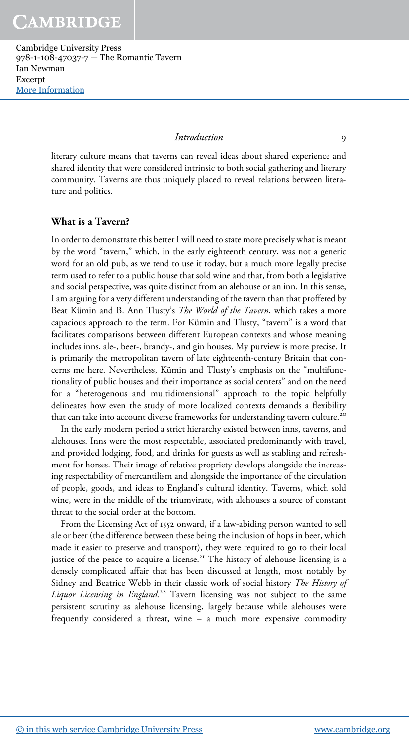#### Introduction 9

literary culture means that taverns can reveal ideas about shared experience and shared identity that were considered intrinsic to both social gathering and literary community. Taverns are thus uniquely placed to reveal relations between literature and politics.

### What is a Tavern?

In order to demonstrate this better I will need to state more precisely what is meant by the word "tavern," which, in the early eighteenth century, was not a generic word for an old pub, as we tend to use it today, but a much more legally precise term used to refer to a public house that sold wine and that, from both a legislative and social perspective, was quite distinct from an alehouse or an inn. In this sense, I am arguing for a very different understanding of the tavern than that proffered by Beat Kümin and B. Ann Tlusty's The World of the Tavern, which takes a more capacious approach to the term. For Kümin and Tlusty, "tavern" is a word that facilitates comparisons between different European contexts and whose meaning includes inns, ale-, beer-, brandy-, and gin houses. My purview is more precise. It is primarily the metropolitan tavern of late eighteenth-century Britain that concerns me here. Nevertheless, Kümin and Tlusty's emphasis on the "multifunctionality of public houses and their importance as social centers" and on the need for a "heterogenous and multidimensional" approach to the topic helpfully delineates how even the study of more localized contexts demands a flexibility that can take into account diverse frameworks for understanding tavern culture.<sup>20</sup>

In the early modern period a strict hierarchy existed between inns, taverns, and alehouses. Inns were the most respectable, associated predominantly with travel, and provided lodging, food, and drinks for guests as well as stabling and refreshment for horses. Their image of relative propriety develops alongside the increasing respectability of mercantilism and alongside the importance of the circulation of people, goods, and ideas to England's cultural identity. Taverns, which sold wine, were in the middle of the triumvirate, with alehouses a source of constant threat to the social order at the bottom.

From the Licensing Act of 1552 onward, if a law-abiding person wanted to sell ale or beer (the difference between these being the inclusion of hops in beer, which made it easier to preserve and transport), they were required to go to their local justice of the peace to acquire a license.<sup>21</sup> The history of alehouse licensing is a densely complicated affair that has been discussed at length, most notably by Sidney and Beatrice Webb in their classic work of social history The History of Liquor Licensing in England.<sup>22</sup> Tavern licensing was not subject to the same persistent scrutiny as alehouse licensing, largely because while alehouses were frequently considered a threat, wine – a much more expensive commodity